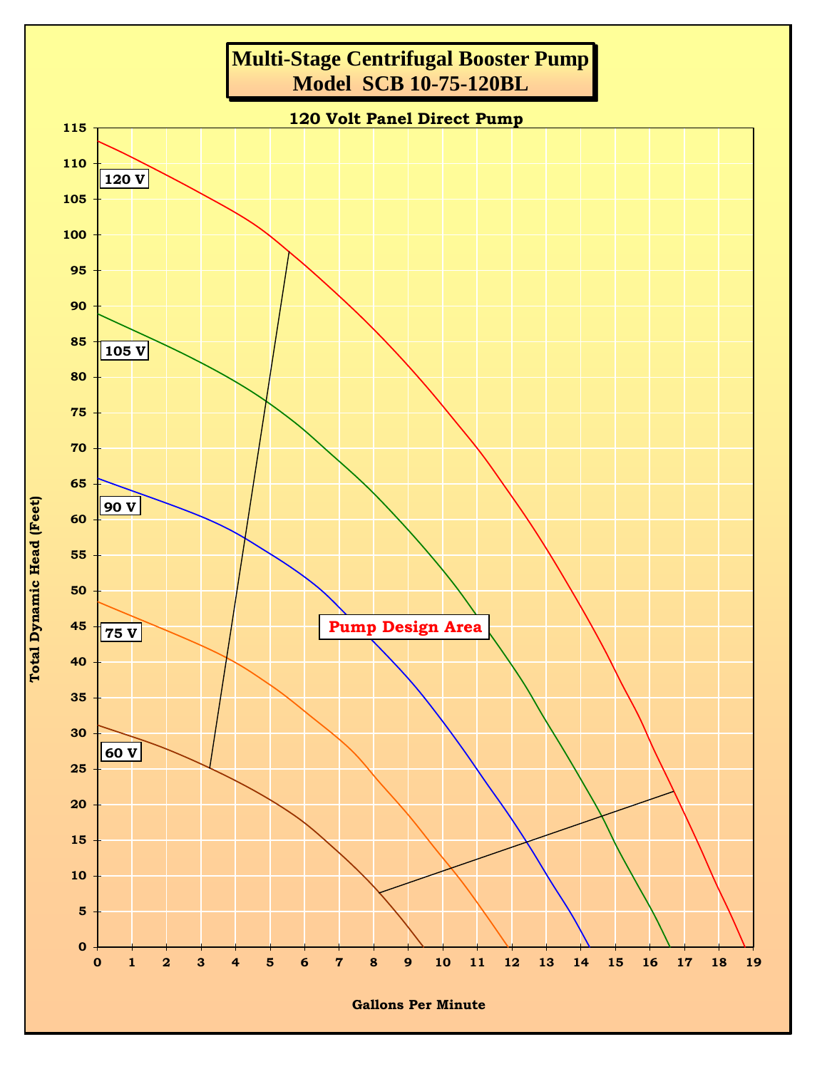